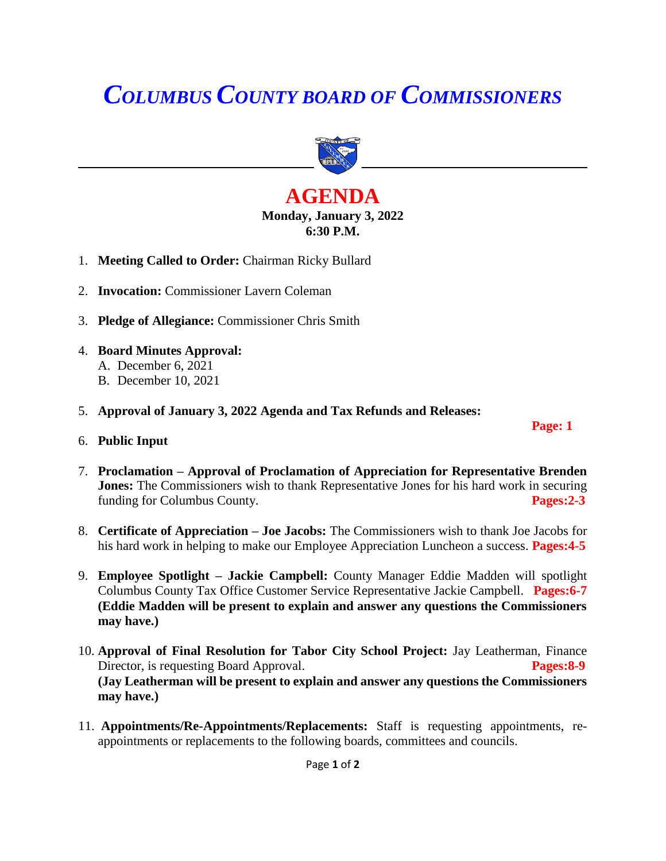# *COLUMBUS COUNTY BOARD OF COMMISSIONERS*



## **AGENDA Monday, January 3, 2022 6:30 P.M.**

- 1. **Meeting Called to Order:** Chairman Ricky Bullard
- 2. **Invocation:** Commissioner Lavern Coleman
- 3. **Pledge of Allegiance:** Commissioner Chris Smith
- 4. **Board Minutes Approval:**
	- A. December 6, 2021
	- B. December 10, 2021
- 5. **Approval of January 3, 2022 Agenda and Tax Refunds and Releases:**
- 6. **Public Input**
- 7. **Proclamation – Approval of Proclamation of Appreciation for Representative Brenden Jones:** The Commissioners wish to thank Representative Jones for his hard work in securing funding for Columbus County. **Pages:2-3**

 **Page: 1** 

- 8. **Certificate of Appreciation – Joe Jacobs:** The Commissioners wish to thank Joe Jacobs for his hard work in helping to make our Employee Appreciation Luncheon a success. **Pages:4-5**
- 9. **Employee Spotlight – Jackie Campbell:** County Manager Eddie Madden will spotlight Columbus County Tax Office Customer Service Representative Jackie Campbell. **Pages:6-7 (Eddie Madden will be present to explain and answer any questions the Commissioners may have.)**
- 10. **Approval of Final Resolution for Tabor City School Project:** Jay Leatherman, Finance Director, is requesting Board Approval. **Pages:8-9 (Jay Leatherman will be present to explain and answer any questions the Commissioners may have.)**
- 11. **Appointments/Re-Appointments/Replacements:** Staff is requesting appointments, reappointments or replacements to the following boards, committees and councils.